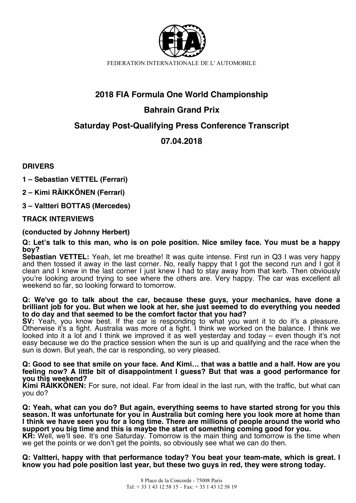

# **2018 FIA Formula One World Championship**

# **Bahrain Grand Prix**

# **Saturday Post-Qualifying Press Conference Transcript**

# **07.04.2018**

**DRIVERS**

**1 – Sebastian VETTEL (Ferrari)**

**2 – Kimi RÄIKKÖNEN (Ferrari)**

**3 – Valtteri BOTTAS (Mercedes)**

# **TRACK INTERVIEWS**

# **(conducted by Johnny Herbert)**

**Q: Let's talk to this man, who is on pole position. Nice smiley face. You must be a happy boy?** 

**Sebastian VETTEL:** Yeah, let me breathe! It was quite intense. First run in Q3 I was very happy and then tossed it away in the last corner. No, really happy that I got the second run and I got it clean and I knew in the last corner I just knew I had to stay away from that kerb. Then obviously you're looking around trying to see where the others are. Very happy. The car was excellent all weekend so far, so looking forward to tomorrow.

#### **Q: We've go to talk about the car, because these guys, your mechanics, have done a brilliant job for you. But when we look at her, she just seemed to do everything you needed to do day and that seemed to be the comfort factor that you had?**

**SV:** Yeah, you know best. If the car is responding to what you want it to do it's a pleasure. Otherwise it's a fight. Australia was more of a fight. I think we worked on the balance. I think we looked into it a lot and I think we improved it as well yesterday and today – even though it's not easy because we do the practice session when the sun is up and qualifying and the race when the sun is down. But yeah, the car is responding, so very pleased.

### **Q: Good to see that smile on your face. And Kimi… that was a battle and a half. How are you feeling now? A little bit of disappointment I guess? But that was a good performance for you this weekend?**

**Kimi RÄIKKÖNEN:** For sure, not ideal. Far from ideal in the last run, with the traffic, but what can you do?

**Q: Yeah, what can you do? But again, everything seems to have started strong for you this season. It was unfortunate for you in Australia but coming here you look more at home than I think we have seen you for a long time. There are millions of people around the world who support you big time and this is maybe the start of something coming good for you. KR:** Well, we'll see. It's one Saturday. Tomorrow is the main thing and tomorrow is the time when

we get the points or we don't get the points, so obviously see what we can do then.

**Q: Valtteri, happy with that performance today? You beat your team-mate, which is great. I know you had pole position last year, but these two guys in red, they were strong today.**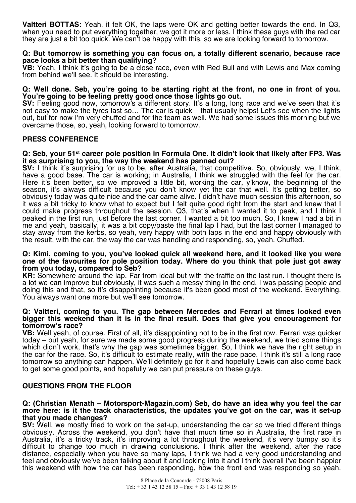**Valtteri BOTTAS:** Yeah, it felt OK, the laps were OK and getting better towards the end. In Q3, when you need to put everything together, we got it more or less. I think these guys with the red car they are just a bit too quick. We can't be happy with this, so we are looking forward to tomorrow.

### **Q: But tomorrow is something you can focus on, a totally different scenario, because race pace looks a bit better than qualifying?**

**VB:** Yeah, I think it's going to be a close race, even with Red Bull and with Lewis and Max coming from behind we'll see. It should be interesting.

### **Q: Well done. Seb, you're going to be starting right at the front, no one in front of you. You're going to be feeling pretty good once those lights go out.**

SV: Feeling good now, tomorrow's a different story. It's a long, long race and we've seen that it's not easy to make the tyres last so… The car is quick – that usually helps! Let's see when the lights out, but for now I'm very chuffed and for the team as well. We had some issues this morning but we overcame those, so, yeah, looking forward to tomorrow.

## **PRESS CONFERENCE**

## **Q: Seb, your 51st career pole position in Formula One. It didn't look that likely after FP3. Was it as surprising to you, the way the weekend has panned out?**

**SV:** I think it's surprising for us to be, after Australia, that competitive. So, obviously, we, I think, have a good base. The car is working; in Australia, I think we struggled with the feel for the car. Here it's been better, so we improved a little bit, working the car, y'know, the beginning of the season, it's always difficult because you don't know yet the car that well. It's getting better, so obviously today was quite nice and the car came alive. I didn't have much session this afternoon, so it was a bit tricky to know what to expect but I felt quite good right from the start and knew that I could make progress throughout the session. Q3, that's when I wanted it to peak, and I think I peaked in the first run, just before the last corner. I wanted a bit too much. So, I knew I had a bit in me and yeah, basically, it was a bit copy/paste the final lap I had, but the last corner I managed to stay away from the kerbs, so yeah, very happy with both laps in the end and happy obviously with the result, with the car, the way the car was handling and responding, so, yeah. Chuffed.

#### **Q: Kimi, coming to you, you've looked quick all weekend here, and it looked like you were one of the favourites for pole position today. Where do you think that pole just got away from you today, compared to Seb?**

**KR:** Somewhere around the lap. Far from ideal but with the traffic on the last run. I thought there is a lot we can improve but obviously, it was such a messy thing in the end, I was passing people and doing this and that, so it's disappointing because it's been good most of the weekend. Everything. You always want one more but we'll see tomorrow.

#### **Q: Valtteri, coming to you. The gap between Mercedes and Ferrari at times looked even bigger this weekend than it is in the final result. Does that give you encouragement for tomorrow's race?**

**VB:** Well yeah, of course. First of all, it's disappointing not to be in the first row. Ferrari was quicker today – but yeah, for sure we made some good progress during the weekend, we tried some things which didn't work, that's why the gap was sometimes bigger. So, I think we have the right setup in the car for the race. So, it's difficult to estimate really, with the race pace. I think it's still a long race tomorrow so anything can happen. We'll definitely go for it and hopefully Lewis can also come back to get some good points, and hopefully we can put pressure on these guys.

# **QUESTIONS FROM THE FLOOR**

#### **Q: (Christian Menath – Motorsport-Magazin.com) Seb, do have an idea why you feel the car more here: is it the track characteristics, the updates you've got on the car, was it set-up that you made changes?**

**SV:** Well, we mostly tried to work on the set-up, understanding the car so we tried different things obviously. Across the weekend, you don't have that much time so in Australia, the first race in Australia, it's a tricky track, it's improving a lot throughout the weekend, it's very bumpy so it's difficult to change too much in drawing conclusions. I think after the weekend, after the race distance, especially when you have so many laps, I think we had a very good understanding and feel and obviously we've been talking about it and looking into it and I think overall I've been happier this weekend with how the car has been responding, how the front end was responding so yeah,